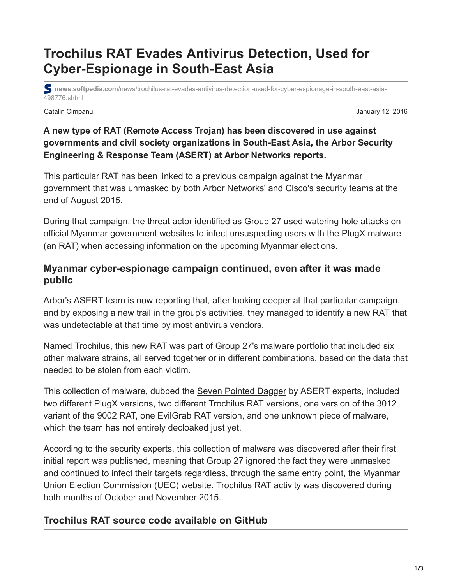# **Trochilus RAT Evades Antivirus Detection, Used for Cyber-Espionage in South-East Asia**

**news.softpedia.com**[/news/trochilus-rat-evades-antivirus-detection-used-for-cyber-espionage-in-south-east-asia-](https://news.softpedia.com/news/trochilus-rat-evades-antivirus-detection-used-for-cyber-espionage-in-south-east-asia-498776.shtml)498776.shtml

Catalin Cimpanu January 12, 2016

#### **A new type of RAT (Remote Access Trojan) has been discovered in use against governments and civil society organizations in South-East Asia, the Arbor Security Engineering & Response Team (ASERT) at Arbor Networks reports.**

This particular RAT has been linked to a [previous campaign](http://pages.arbornetworks.com/rs/082-KNA-087/images/ASERT%20Threat%20Intelligence%20Brief%202015-05%20PlugX%20Threat%20Activity%20in%20Myanmar.pdf) against the Myanmar government that was unmasked by both Arbor Networks' and Cisco's security teams at the end of August 2015.

During that campaign, the threat actor identified as Group 27 used watering hole attacks on official Myanmar government websites to infect unsuspecting users with the PlugX malware (an RAT) when accessing information on the upcoming Myanmar elections.

### **Myanmar cyber-espionage campaign continued, even after it was made public**

Arbor's ASERT team is now reporting that, after looking deeper at that particular campaign, and by exposing a new trail in the group's activities, they managed to identify a new RAT that was undetectable at that time by most antivirus vendors.

Named Trochilus, this new RAT was part of Group 27's malware portfolio that included six other malware strains, all served together or in different combinations, based on the data that needed to be stolen from each victim.

This collection of malware, dubbed the [Seven Pointed Dagger](https://asert.arbornetworks.com/wp-content/uploads/2016/01/ASERT-Threat-Intelligence-Brief-Uncovering-the-Seven-Pointed-Dagger.pdf) by ASERT experts, included two different PlugX versions, two different Trochilus RAT versions, one version of the 3012 variant of the 9002 RAT, one EvilGrab RAT version, and one unknown piece of malware, which the team has not entirely decloaked just yet.

According to the security experts, this collection of malware was discovered after their first initial report was published, meaning that Group 27 ignored the fact they were unmasked and continued to infect their targets regardless, through the same entry point, the Myanmar Union Election Commission (UEC) website. Trochilus RAT activity was discovered during both months of October and November 2015.

## **Trochilus RAT source code available on GitHub**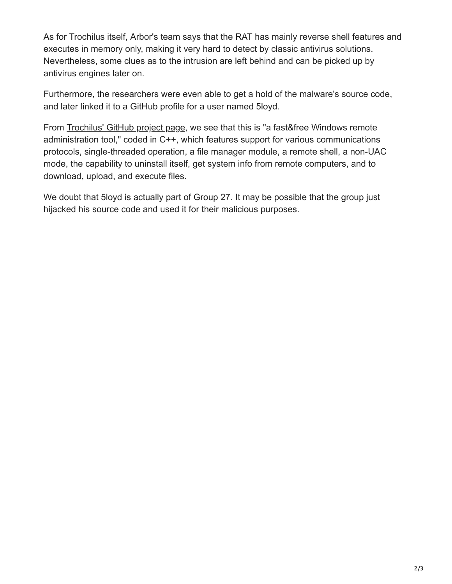As for Trochilus itself, Arbor's team says that the RAT has mainly reverse shell features and executes in memory only, making it very hard to detect by classic antivirus solutions. Nevertheless, some clues as to the intrusion are left behind and can be picked up by antivirus engines later on.

Furthermore, the researchers were even able to get a hold of the malware's source code, and later linked it to a GitHub profile for a user named 5loyd.

From [Trochilus' GitHub project page,](https://github.com/5loyd/trochilus) we see that this is "a fast&free Windows remote administration tool," coded in C++, which features support for various communications protocols, single-threaded operation, a file manager module, a remote shell, a non-UAC mode, the capability to uninstall itself, get system info from remote computers, and to download, upload, and execute files.

We doubt that 5loyd is actually part of Group 27. It may be possible that the group just hijacked his source code and used it for their malicious purposes.